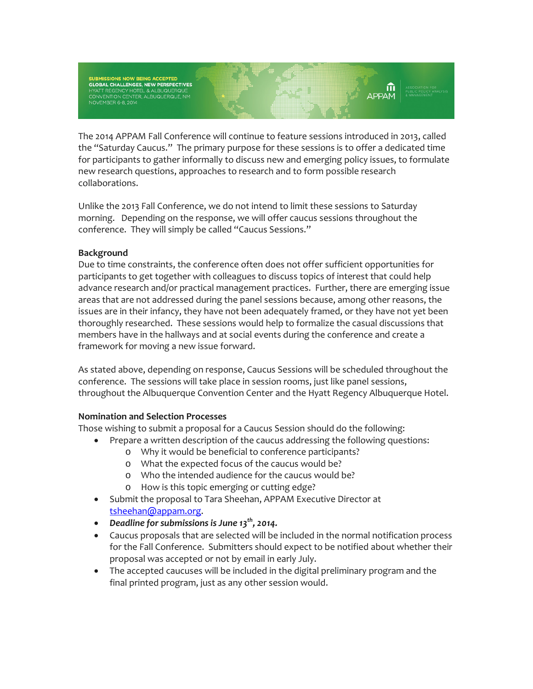SUBMISSIONS NOW BEING ACCEPTED<br>GLOBAL CHALLENGES, NEW PERSPECTIVES HYATT REGENCY HOTEL & ALBUQUERQUE<br>CONVENTION CENTER, ALBUQUERQUE, NM<br>NOVEMBER 6-8, 2014

The 2014 APPAM Fall Conference will continue to feature sessions introduced in 2013, called the "Saturday Caucus." The primary purpose for these sessions is to offer a dedicated time for participants to gather informally to discuss new and emerging policy issues, to formulate new research questions, approaches to research and to form possible research collaborations.

Unlike the 2013 Fall Conference, we do not intend to limit these sessions to Saturday morning. Depending on the response, we will offer caucus sessions throughout the conference. They will simply be called "Caucus Sessions."

## **Background**

Due to time constraints, the conference often does not offer sufficient opportunities for participants to get together with colleagues to discuss topics of interest that could help advance research and/or practical management practices. Further, there are emerging issue areas that are not addressed during the panel sessions because, among other reasons, the issues are in their infancy, they have not been adequately framed, or they have not yet been thoroughly researched. These sessions would help to formalize the casual discussions that members have in the hallways and at social events during the conference and create a framework for moving a new issue forward.

As stated above, depending on response, Caucus Sessions will be scheduled throughout the conference. The sessions will take place in session rooms, just like panel sessions, throughout the Albuquerque Convention Center and the Hyatt Regency Albuquerque Hotel.

## **Nomination and Selection Processes**

Those wishing to submit a proposal for a Caucus Session should do the following:

- Prepare a written description of the caucus addressing the following questions:
	- o Why it would be beneficial to conference participants?
	- o What the expected focus of the caucus would be?
	- o Who the intended audience for the caucus would be?
	- o How is this topic emerging or cutting edge?
- Submit the proposal to Tara Sheehan, APPAM Executive Director at [tsheehan@appam.org.](mailto:tsheehan@appam.org)
- *Deadline for submissions is June 13th, 2014.*
- Caucus proposals that are selected will be included in the normal notification process for the Fall Conference. Submitters should expect to be notified about whether their proposal was accepted or not by email in early July.
- The accepted caucuses will be included in the digital preliminary program and the final printed program, just as any other session would.